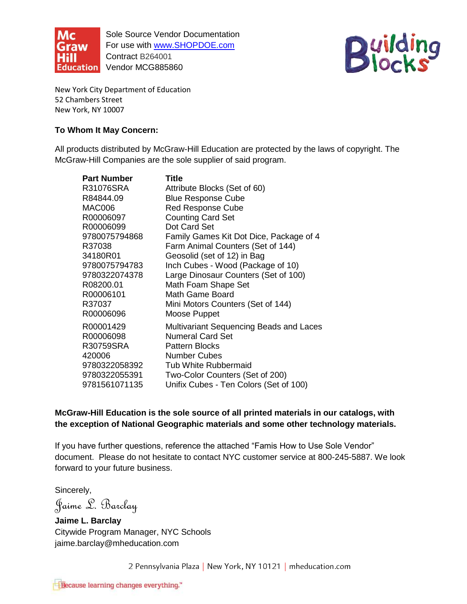

For use with **www.SHOPDOE.com** Sole Source Vendor Documentation Contract B264001 Education Vendor MCG885860



New York City Department of Education 52 Chambers Street New York, NY 10007

## **To Whom It May Concern:**

 All products distributed by McGraw-Hill Education are protected by the laws of copyright. The McGraw-Hill Companies are the sole supplier of said program.

| <b>Part Number</b><br>R31076SRA<br>R84844.09<br>MAC006<br>R00006097<br>R00006099<br>9780075794868<br>R37038<br>34180R01<br>9780075794783<br>9780322074378<br>R08200.01<br>R00006101<br>R37037 | <b>Title</b><br>Attribute Blocks (Set of 60)<br><b>Blue Response Cube</b><br><b>Red Response Cube</b><br><b>Counting Card Set</b><br>Dot Card Set<br>Family Games Kit Dot Dice, Package of 4<br>Farm Animal Counters (Set of 144)<br>Geosolid (set of 12) in Bag<br>Inch Cubes - Wood (Package of 10)<br>Large Dinosaur Counters (Set of 100)<br>Math Foam Shape Set<br>Math Game Board |
|-----------------------------------------------------------------------------------------------------------------------------------------------------------------------------------------------|-----------------------------------------------------------------------------------------------------------------------------------------------------------------------------------------------------------------------------------------------------------------------------------------------------------------------------------------------------------------------------------------|
| R00006096                                                                                                                                                                                     | Mini Motors Counters (Set of 144)<br>Moose Puppet                                                                                                                                                                                                                                                                                                                                       |
| R00001429<br>R00006098<br>R30759SRA<br>420006<br>9780322058392<br>9780322055391<br>9781561071135                                                                                              | Multivariant Sequencing Beads and Laces<br><b>Numeral Card Set</b><br><b>Pattern Blocks</b><br><b>Number Cubes</b><br><b>Tub White Rubbermaid</b><br>Two-Color Counters (Set of 200)<br>Unifix Cubes - Ten Colors (Set of 100)                                                                                                                                                          |

 **McGraw-Hill Education is the sole source of all printed materials in our catalogs, with the exception of National Geographic materials and some other technology materials.** 

If you have further questions, reference the attached "Famis How to Use Sole Vendor" document. Please do not hesitate to contact NYC customer service at 800-245-5887. We look forward to your future business.

Sincerely,

Jaime L. Barclay

 **Jaime L. Barclay**  Citywide Program Manager, NYC Schools jaime.barclay@mheducation.com

2 Pennsylvania Plaza | New York, NY 10121 | mheducation.com